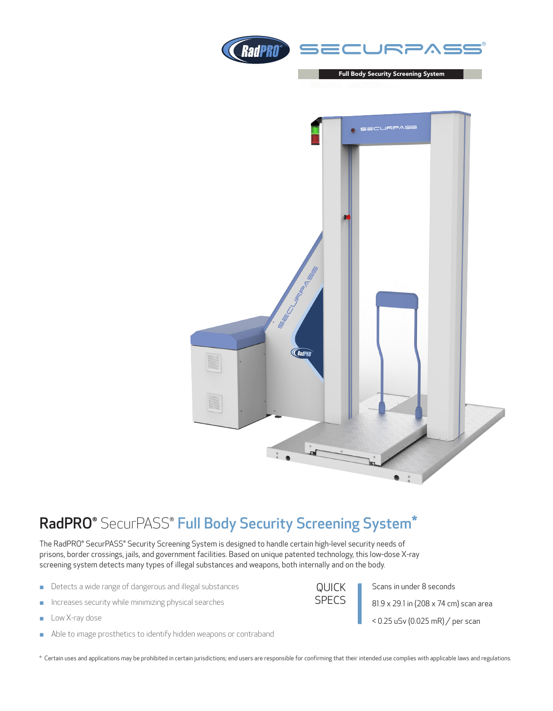



## RadPRO® SecurPASS® Full Body Security Screening System\*

The RadPRO® SecurPASS® Security Screening System is designed to handle certain high-level security needs of prisons, border crossings, jails, and government facilities. Based on unique patented technology, this low-dose X-ray screening system detects many types of illegal substances and weapons, both internally and on the body.

- Detects a wide range of dangerous and illegal substances
- $\blacksquare$  Increases security while minimizing physical searches
- **Low X-ray dose**
- **Able to image prosthetics to identify hidden weapons or contraband**

QUICK SPECS Scans in under 8 seconds 81.9 x 29.1 in (208 x 74 cm) scan area < 0.25 uSv (0.025 mR) / per scan

\* Certain uses and applications may be prohibited in certain jurisdictions; end users are responsible for confirming that their intended use complies with applicable laws and regulations.